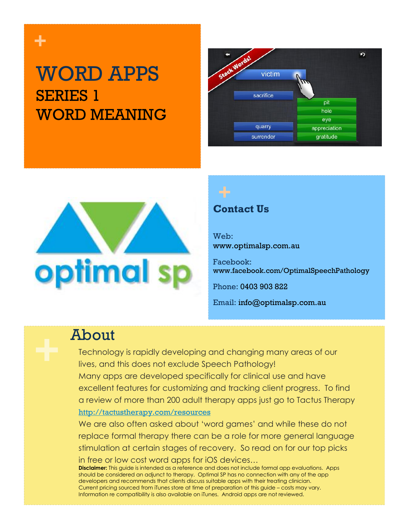### WORD APPS SERIES 1 WORD MEANING

**+**





### **Contact Us**

Web: www.optimalsp.com.au

Facebook: www.facebook.com/OptimalSpeechPathology

Phone: 0403 903 822

Email: info@optimalsp.com.au

### About

Technology is rapidly developing and changing many areas of our lives, and this does not exclude Speech Pathology! Many apps are developed specifically for clinical use and have excellent features for customizing and tracking client progress. To find a review of more than 200 adult therapy apps just go to Tactus Therapy <http://tactustherapy.com/resources>

We are also often asked about 'word games' and while these do not replace formal therapy there can be a role for more general language stimulation at certain stages of recovery. So read on for our top picks in free or low cost word apps for iOS devices…

**Disclaimer:** This guide is intended as a reference and does not include formal app evaluations. Apps should be considered an adjunct to therapy. Optimal SP has no connection with any of the app developers and recommends that clients discuss suitable apps with their treating clinician. Current pricing sourced from iTunes store at time of preparation of this guide – costs may vary. Information re compatibility is also available on iTunes. Android apps are not reviewed.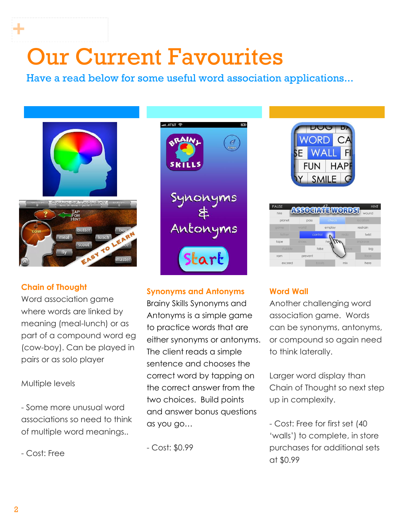# Our Current Favourites

Have a read below for some useful word association applications...



### **Chain of Thought**

**+**

Word association game where words are linked by meaning (meal-lunch) or as part of a compound word eg (cow-boy). Can be played in pairs or as solo player

### Multiple levels

- Some more unusual word associations so need to think of multiple word meanings..

- Cost: Free



### **Synonyms and Antonyms**

Brainy Skills Synonyms and Antonyms is a simple game to practice words that are either synonyms or antonyms. The client reads a simple sentence and chooses the correct word by tapping on the correct answer from the two choices. Build points and answer bonus questions as you go…

- Cost: \$0.99



| <b>PAUSE</b> | ASSOCIATEWORDSL |         |      | <b>HINT</b> |
|--------------|-----------------|---------|------|-------------|
| hire         |                 |         |      | wound       |
| planet       | pass            | check   |      | location    |
| game         | world           | employ  |      | restrain    |
| father       |                 | control | redo | twist       |
| tape         | shoes           | he      |      | improve     |
| stubble      |                 | false   | have | big         |
| ram          | prevent         |         |      | face        |
| exceed       |                 | boots   | mix  | here        |

#### **Word Wall**

Another challenging word association game. Words can be synonyms, antonyms, or compound so again need to think laterally.

Larger word display than Chain of Thought so next step up in complexity.

- Cost: Free for first set (40 'walls') to complete, in store purchases for additional sets at \$0.99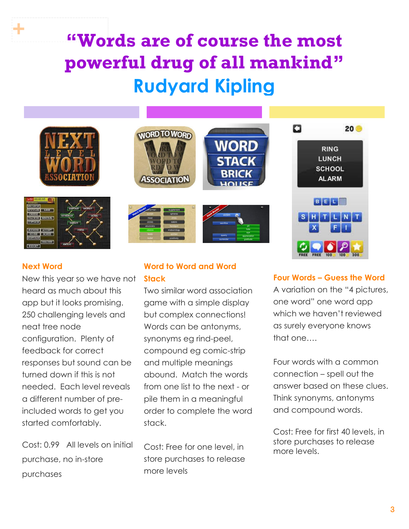## **"Words are of course the most powerful drug of all mankind" Rudyard Kipling**











WORD

STACK

### **Next Word**

**+**

New this year so we have not heard as much about this app but it looks promising. 250 challenging levels and neat tree node configuration. Plenty of feedback for correct responses but sound can be turned down if this is not needed. Each level reveals a different number of preincluded words to get you started comfortably.

Cost: 0.99 All levels on initial purchase, no in-store purchases

### **Word to Word and Word Stack**

Two similar word association game with a simple display but complex connections! Words can be antonyms, synonyms eg rind-peel, compound eg comic-strip and multiple meanings abound. Match the words from one list to the next - or pile them in a meaningful order to complete the word stack.

Cost: Free for one level, in store purchases to release more levels



#### **Four Words – Guess the Word**

A variation on the "4 pictures, one word" one word app which we haven't reviewed as surely everyone knows that one….

Four words with a common connection – spell out the answer based on these clues. Think synonyms, antonyms and compound words.

Cost: Free for first 40 levels, in store purchases to release more levels.